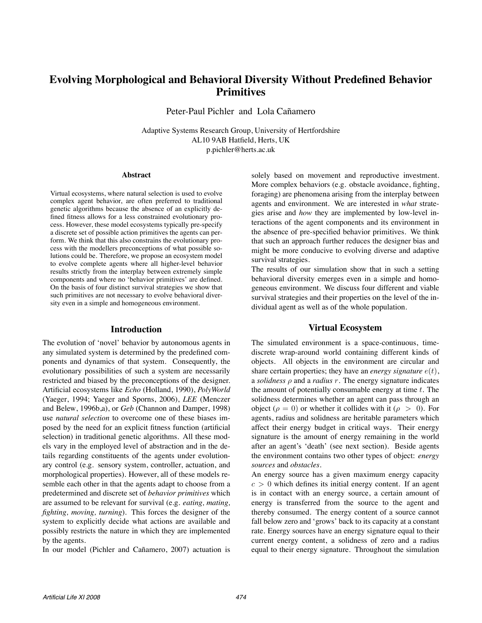# **Evolving Morphological and Behavioral Diversity Without Predefined Behavior Primitives**

Peter-Paul Pichler and Lola Cañamero

Adaptive Systems Research Group, University of Hertfordshire AL10 9AB Hatfield, Herts, UK [p.pichler@herts.ac.uk](mailto:p.pichler@herts.ac.uk)

#### **Abstract**

Virtual ecosystems, where natural selection is used to evolve complex agent behavior, are often preferred to traditional genetic algorithms because the absence of an explicitly defined fitness allows for a less constrained evolutionary process. However, these model ecosystems typically pre-specify a discrete set of possible action primitives the agents can perform. We think that this also constrains the evolutionary process with the modellers preconceptions of what possible solutions could be. Therefore, we propose an ecosystem model to evolve complete agents where all higher-level behavior results strictly from the interplay between extremely simple components and where no 'behavior primitives' are defined. On the basis of four distinct survival strategies we show that such primitives are not necessary to evolve behavioral diversity even in a simple and homogeneous environment.

### **Introduction**

The evolution of 'novel' behavior by autonomous agents in any simulated system is determined by the predefined components and dynamics of that system. Consequently, the evolutionary possibilities of such a system are necessarily restricted and biased by the preconceptions of the designer. Artificial ecosystems like *Echo* (Holland, 1990), *PolyWorld* (Yaeger, 1994; Yaeger and Sporns, 2006), *LEE* (Menczer and Belew, 1996b,a), or *Geb* (Channon and Damper, 1998) use *natural selection* to overcome one of these biases imposed by the need for an explicit fitness function (artificial selection) in traditional genetic algorithms. All these models vary in the employed level of abstraction and in the details regarding constituents of the agents under evolutionary control (e.g. sensory system, controller, actuation, and morphological properties). However, all of these models resemble each other in that the agents adapt to choose from a predetermined and discrete set of *behavior primitives* which are assumed to be relevant for survival (e.g. *eating, mating, fighting, moving, turning*). This forces the designer of the system to explicitly decide what actions are available and possibly restricts the nature in which they are implemented by the agents.

In our model (Pichler and Cañamero, 2007) actuation is

solely based on movement and reproductive investment. More complex behaviors (e.g. obstacle avoidance, fighting, foraging) are phenomena arising from the interplay between agents and environment. We are interested in *what* strategies arise and *how* they are implemented by low-level interactions of the agent components and its environment in the absence of pre-specified behavior primitives. We think that such an approach further reduces the designer bias and might be more conducive to evolving diverse and adaptive survival strategies.

The results of our simulation show that in such a setting behavioral diversity emerges even in a simple and homogeneous environment. We discuss four different and viable survival strategies and their properties on the level of the individual agent as well as of the whole population.

### **Virtual Ecosystem**

The simulated environment is a space-continuous, timediscrete wrap-around world containing different kinds of objects. All objects in the environment are circular and share certain properties; they have an *energy signature*  $e(t)$ , a *solidness*  $\rho$  and a *radius*  $r$ . The energy signature indicates the amount of potentially consumable energy at time  $t$ . The solidness determines whether an agent can pass through an object ( $\rho = 0$ ) or whether it collides with it ( $\rho > 0$ ). For agents, radius and solidness are heritable parameters which affect their energy budget in critical ways. Their energy signature is the amount of energy remaining in the world after an agent's 'death' (see next section). Beside agents the environment contains two other types of object: *energy sources* and *obstacles*.

An energy source has a given maximum energy capacity  $c > 0$  which defines its initial energy content. If an agent is in contact with an energy source, a certain amount of energy is transferred from the source to the agent and thereby consumed. The energy content of a source cannot fall below zero and 'grows' back to its capacity at a constant rate. Energy sources have an energy signature equal to their current energy content, a solidness of zero and a radius equal to their energy signature. Throughout the simulation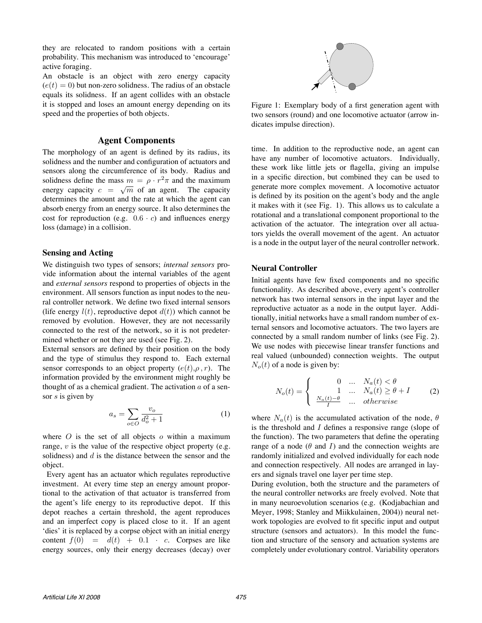they are relocated to random positions with a certain probability. This mechanism was introduced to 'encourage' active foraging.

An obstacle is an object with zero energy capacity  $(e(t)=0)$  but non-zero solidness. The radius of an obstacle equals its solidness. If an agent collides with an obstacle it is stopped and loses an amount energy depending on its speed and the properties of both objects.

### **Agent Components**

The morphology of an agent is defined by its radius, its solidness and the number and configuration of actuators and sensors along the circumference of its body. Radius and solidness define the mass  $m = \rho \cdot r^2 \pi$  and the maximum energy capacity  $c = \sqrt{m}$  of an agent. The capacity determines the amount and the rate at which the agent can absorb energy from an energy source. It also determines the cost for reproduction (e.g.  $0.6 \cdot c$ ) and influences energy loss (damage) in a collision.

### **Sensing and Acting**

We distinguish two types of sensors; *internal sensors* provide information about the internal variables of the agent and *external sensors* respond to properties of objects in the environment. All sensors function as input nodes to the neural controller network. We define two fixed internal sensors (life energy  $l(t)$ , reproductive depot  $d(t)$ ) which cannot be removed by evolution. However, they are not necessarily connected to the rest of the network, so it is not predetermined whether or not they are used (see Fig. 2).

External sensors are defined by their position on the body and the type of stimulus they respond to. Each external sensor corresponds to an object property  $(e(t), \rho, r)$ . The information provided by the environment might roughly be thought of as a chemical gradient. The activation  $a$  of a sensor s is given by

$$
a_s = \sum_{o \in O} \frac{v_o}{d_o^2 + 1} \tag{1}
$$

where  $O$  is the set of all objects  $o$  within a maximum range,  $v$  is the value of the respective object property (e.g. solidness) and  $d$  is the distance between the sensor and the object.

Every agent has an actuator which regulates reproductive investment. At every time step an energy amount proportional to the activation of that actuator is transferred from the agent's life energy to its reproductive depot. If this depot reaches a certain threshold, the agent reproduces and an imperfect copy is placed close to it. If an agent 'dies' it is replaced by a corpse object with an initial energy content  $f(0) = d(t) + 0.1 \cdot c$ . Corpses are like energy sources, only their energy decreases (decay) over



Figure 1: Exemplary body of a first generation agent with two sensors (round) and one locomotive actuator (arrow indicates impulse direction).

time. In addition to the reproductive node, an agent can have any number of locomotive actuators. Individually, these work like little jets or flagella, giving an impulse in a specific direction, but combined they can be used to generate more complex movement. A locomotive actuator is defined by its position on the agent's body and the angle it makes with it (see Fig. 1). This allows us to calculate a rotational and a translational component proportional to the activation of the actuator. The integration over all actuators yields the overall movement of the agent. An actuator is a node in the output layer of the neural controller network.

### **Neural Controller**

Initial agents have few fixed components and no specific functionality. As described above, every agent's controller network has two internal sensors in the input layer and the reproductive actuator as a node in the output layer. Additionally, initial networks have a small random number of external sensors and locomotive actuators. The two layers are connected by a small random number of links (see Fig. 2). We use nodes with piecewise linear transfer functions and real valued (unbounded) connection weights. The output  $N<sub>o</sub>(t)$  of a node is given by:

$$
N_o(t) = \begin{cases} 0 & \dots & N_a(t) < \theta \\ 1 & \dots & N_a(t) \ge \theta + I \\ \frac{N_a(t) - \theta}{I} & \dots & otherwise \end{cases}
$$
 (2)

where  $N_a(t)$  is the accumulated activation of the node,  $\theta$ is the threshold and I defines a responsive range (slope of the function). The two parameters that define the operating range of a node ( $\theta$  and I) and the connection weights are randomly initialized and evolved individually for each node and connection respectively. All nodes are arranged in layers and signals travel one layer per time step.

During evolution, both the structure and the parameters of the neural controller networks are freely evolved. Note that in many neuroevolution scenarios (e.g. (Kodjabachian and Meyer, 1998; Stanley and Miikkulainen, 2004)) neural network topologies are evolved to fit specific input and output structure (sensors and actuators). In this model the function and structure of the sensory and actuation systems are completely under evolutionary control. Variability operators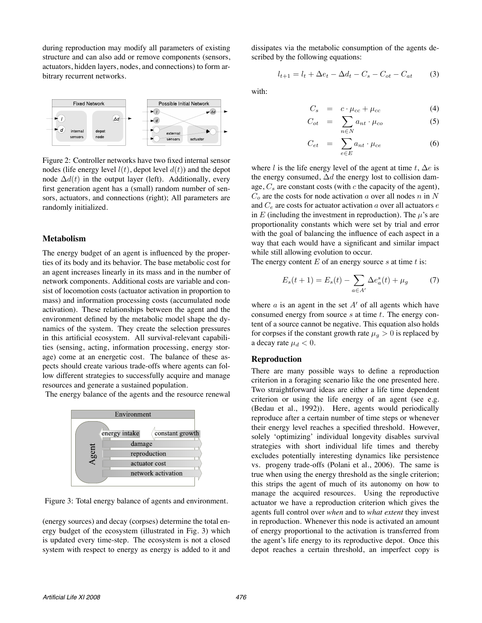during reproduction may modify all parameters of existing structure and can also add or remove components (sensors, actuators, hidden layers, nodes, and connections) to form arbitrary recurrent networks.



Figure 2: Controller networks have two fixed internal sensor nodes (life energy level  $l(t)$ , depot level  $d(t)$ ) and the depot node  $\Delta d(t)$  in the output layer (left). Additionally, every first generation agent has a (small) random number of sensors, actuators, and connections (right); All parameters are randomly initialized.

### **Metabolism**

The energy budget of an agent is influenced by the properties of its body and its behavior. The base metabolic cost for an agent increases linearly in its mass and in the number of network components. Additional costs are variable and consist of locomotion costs (actuator activation in proportion to mass) and information processing costs (accumulated node activation). These relationships between the agent and the environment defined by the metabolic model shape the dynamics of the system. They create the selection pressures in this artificial ecosystem. All survival-relevant capabilities (sensing, acting, information processing, energy storage) come at an energetic cost. The balance of these aspects should create various trade-offs where agents can follow different strategies to successfully acquire and manage resources and generate a sustained population.

The energy balance of the agents and the resource renewal



Figure 3: Total energy balance of agents and environment.

(energy sources) and decay (corpses) determine the total energy budget of the ecosystem (illustrated in Fig. 3) which is updated every time-step. The ecosystem is not a closed system with respect to energy as energy is added to it and

dissipates via the metabolic consumption of the agents described by the following equations:

$$
l_{t+1} = l_t + \Delta e_t - \Delta d_t - C_s - C_{ot} - C_{at} \tag{3}
$$

with:

$$
C_s = c \cdot \mu_{cc} + \mu_{cc} \tag{4}
$$

$$
C_{ot} = \sum_{n \in N} a_{nt} \cdot \mu_{co} \tag{5}
$$

$$
C_{et} = \sum_{e \in E} a_{nt} \cdot \mu_{ce} \tag{6}
$$

where l is the life energy level of the agent at time t,  $\Delta e$  is the energy consumed,  $\Delta d$  the energy lost to collision damage,  $C_s$  are constant costs (with  $c$  the capacity of the agent),  $C<sub>o</sub>$  are the costs for node activation a over all nodes n in N and  $C_e$  are costs for actuator activation a over all actuators e in E (including the investment in reproduction). The  $\mu$ 's are proportionality constants which were set by trial and error with the goal of balancing the influence of each aspect in a way that each would have a significant and similar impact while still allowing evolution to occur.

The energy content  $E$  of an energy source  $s$  at time  $t$  is:

$$
E_s(t+1) = E_s(t) - \sum_{a \in A'} \Delta e_a^s(t) + \mu_g \tag{7}
$$

where  $\alpha$  is an agent in the set  $A'$  of all agents which have consumed energy from source  $s$  at time  $t$ . The energy content of a source cannot be negative. This equation also holds for corpses if the constant growth rate  $\mu_q > 0$  is replaced by a decay rate  $\mu_d < 0$ .

#### **Reproduction**

There are many possible ways to define a reproduction criterion in a foraging scenario like the one presented here. Two straightforward ideas are either a life time dependent criterion or using the life energy of an agent (see e.g. (Bedau et al., 1992)). Here, agents would periodically reproduce after a certain number of time steps or whenever their energy level reaches a specified threshold. However, solely 'optimizing' individual longevity disables survival strategies with short individual life times and thereby excludes potentially interesting dynamics like persistence vs. progeny trade-offs (Polani et al., 2006). The same is true when using the energy threshold as the single criterion; this strips the agent of much of its autonomy on how to manage the acquired resources. Using the reproductive actuator we have a reproduction criterion which gives the agents full control over *when* and to *what extent* they invest in reproduction. Whenever this node is activated an amount of energy proportional to the activation is transferred from the agent's life energy to its reproductive depot. Once this depot reaches a certain threshold, an imperfect copy is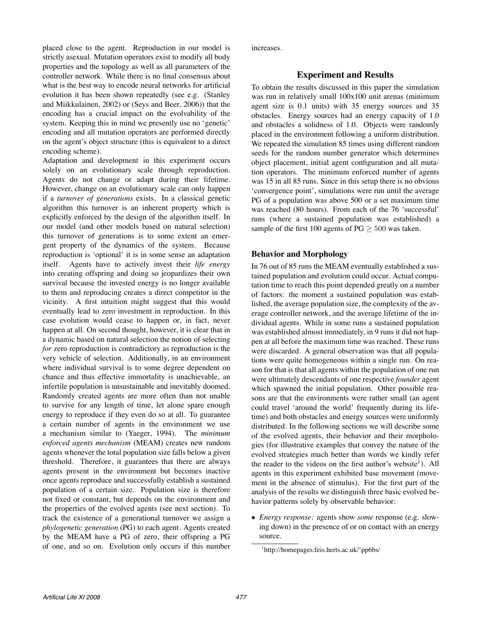placed close to the agent. Reproduction in our model is strictly asexual. Mutation operators exist to modify all body properties and the topology as well as all parameters of the controller network. While there is no final consensus about what is the best way to encode neural networks for artificial evolution it has been shown repeatedly (see e.g. (Stanley and Miikkulainen, 2002) or (Seys and Beer, 2006)) that the encoding has a crucial impact on the evolvability of the system. Keeping this in mind we presently use no 'genetic' encoding and all mutation operators are performed directly on the agent's object structure (this is equivalent to a direct encoding scheme).

Adaptation and development in this experiment occurs solely on an evolutionary scale through reproduction. Agents do not change or adapt during their lifetime. However, change on an evolutionary scale can only happen if a *turnover of generations* exists. In a classical genetic algorithm this turnover is an inherent property which is explicitly enforced by the design of the algorithm itself. In our model (and other models based on natural selection) this turnover of generations is to some extent an emergent property of the dynamics of the system. Because reproduction is 'optional' it is in some sense an adaptation itself. Agents have to actively invest their *life energy* into creating offspring and doing so jeopardizes their own survival because the invested energy is no longer available to them and reproducing creates a direct competitor in the vicinity. A first intuition might suggest that this would eventually lead to zero investment in reproduction. In this case evolution would cease to happen or, in fact, never happen at all. On second thought, however, it is clear that in a dynamic based on natural selection the notion of selecting *for* zero reproduction is contradictory as reproduction is the very vehicle of selection. Additionally, in an environment where individual survival is to some degree dependent on chance and thus effective immortality is unachievable, an infertile population is unsustainable and inevitably doomed. Randomly created agents are more often than not unable to survive for any length of time, let alone spare enough energy to reproduce if they even do so at all. To guarantee a certain number of agents in the environment we use a mechanism similar to (Yaeger, 1994). The *minimum enforced agents mechanism* (MEAM) creates new random agents whenever the total population size falls below a given threshold. Therefore, it guarantees that there are always agents present in the environment but becomes inactive once agents reproduce and successfully establish a sustained population of a certain size. Population size is therefore not fixed or constant, but depends on the environment and the properties of the evolved agents (see next section). To track the existence of a generational turnover we assign a *phylogenetic generation* (PG) to each agent. Agents created by the MEAM have a PG of zero, their offspring a PG of one, and so on. Evolution only occurs if this number increases.

### **Experiment and Results**

To obtain the results discussed in this paper the simulation was run in relatively small 100x100 unit arenas (minimum agent size is 0.1 units) with 35 energy sources and 35 obstacles. Energy sources had an energy capacity of 1.0 and obstacles a solidness of 1.0. Objects were randomly placed in the environment following a uniform distribution. We repeated the simulation 85 times using different random seeds for the random number generator which determines object placement, initial agent configuration and all mutation operators. The minimum enforced number of agents was 15 in all 85 runs. Since in this setup there is no obvious 'convergence point', simulations were run until the average PG of a population was above 500 or a set maximum time was reached (80 hours). From each of the 76 'successful' runs (where a sustained population was established) a sample of the first 100 agents of  $PG \geq 500$  was taken.

### **Behavior and Morphology**

In 76 out of 85 runs the MEAM eventually established a sustained population and evolution could occur. Actual computation time to reach this point depended greatly on a number of factors: the moment a sustained population was established, the average population size, the complexity of the average controller network, and the average lifetime of the individual agents. While in some runs a sustained population was established almost immediately, in 9 runs it did not happen at all before the maximum time was reached. These runs were discarded. A general observation was that all populations were quite homogeneous within a single run. On reason for that is that all agents within the population of one run were ultimately descendants of one respective *founder* agent which spawned the initial population. Other possible reasons are that the environments were rather small (an agent could travel 'around the world' frequently during its lifetime) and both obstacles and energy sources were uniformly distributed. In the following sections we will describe some of the evolved agents, their behavior and their morphologies (for illustrative examples that convey the nature of the evolved strategies much better than words we kindly refer the reader to the videos on the first author's website<sup>1</sup>). All agents in this experiment exhibited base movement (movement in the absence of stimulus). For the first part of the analysis of the results we distinguish three basic evolved behavior patterns solely by observable behavior:

• *Energy response:* agents show *some* response (e.g. slowing down) in the presence of or on contact with an energy source.

<sup>1</sup> http://homepages.feis.herts.ac.uk/˜pp6bs/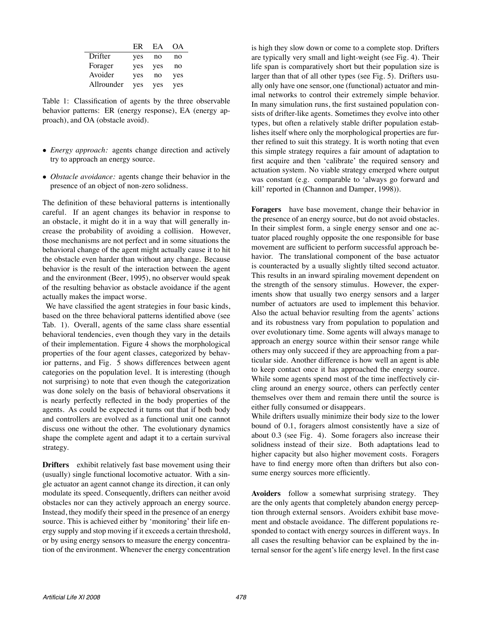|            | ER  | ЕA  | OA. |
|------------|-----|-----|-----|
| Drifter    | yes | no  | no  |
| Forager    | yes | yes | no  |
| Avoider    | yes | no  | yes |
| Allrounder | yes | yes | yes |

Table 1: Classification of agents by the three observable behavior patterns: ER (energy response), EA (energy approach), and OA (obstacle avoid).

- *Energy approach:* agents change direction and actively try to approach an energy source.
- *Obstacle avoidance:* agents change their behavior in the presence of an object of non-zero solidness.

The definition of these behavioral patterns is intentionally careful. If an agent changes its behavior in response to an obstacle, it might do it in a way that will generally increase the probability of avoiding a collision. However, those mechanisms are not perfect and in some situations the behavioral change of the agent might actually cause it to hit the obstacle even harder than without any change. Because behavior is the result of the interaction between the agent and the environment (Beer, 1995), no observer would speak of the resulting behavior as obstacle avoidance if the agent actually makes the impact worse.

We have classified the agent strategies in four basic kinds, based on the three behavioral patterns identified above (see Tab. 1). Overall, agents of the same class share essential behavioral tendencies, even though they vary in the details of their implementation. Figure 4 shows the morphological properties of the four agent classes, categorized by behavior patterns, and Fig. 5 shows differences between agent categories on the population level. It is interesting (though not surprising) to note that even though the categorization was done solely on the basis of behavioral observations it is nearly perfectly reflected in the body properties of the agents. As could be expected it turns out that if both body and controllers are evolved as a functional unit one cannot discuss one without the other. The evolutionary dynamics shape the complete agent and adapt it to a certain survival strategy.

**Drifters** exhibit relatively fast base movement using their (usually) single functional locomotive actuator. With a single actuator an agent cannot change its direction, it can only modulate its speed. Consequently, drifters can neither avoid obstacles nor can they actively approach an energy source. Instead, they modify their speed in the presence of an energy source. This is achieved either by 'monitoring' their life energy supply and stop moving if it exceeds a certain threshold, or by using energy sensors to measure the energy concentration of the environment. Whenever the energy concentration

is high they slow down or come to a complete stop. Drifters are typically very small and light-weight (see Fig. 4). Their life span is comparatively short but their population size is larger than that of all other types (see Fig. 5). Drifters usually only have one sensor, one (functional) actuator and minimal networks to control their extremely simple behavior. In many simulation runs, the first sustained population consists of drifter-like agents. Sometimes they evolve into other types, but often a relatively stable drifter population establishes itself where only the morphological properties are further refined to suit this strategy. It is worth noting that even this simple strategy requires a fair amount of adaptation to first acquire and then 'calibrate' the required sensory and actuation system. No viable strategy emerged where output was constant (e.g. comparable to 'always go forward and kill' reported in (Channon and Damper, 1998)).

**Foragers** have base movement, change their behavior in the presence of an energy source, but do not avoid obstacles. In their simplest form, a single energy sensor and one actuator placed roughly opposite the one responsible for base movement are sufficient to perform successful approach behavior. The translational component of the base actuator is counteracted by a usually slightly tilted second actuator. This results in an inward spiraling movement dependent on the strength of the sensory stimulus. However, the experiments show that usually two energy sensors and a larger number of actuators are used to implement this behavior. Also the actual behavior resulting from the agents' actions and its robustness vary from population to population and over evolutionary time. Some agents will always manage to approach an energy source within their sensor range while others may only succeed if they are approaching from a particular side. Another difference is how well an agent is able to keep contact once it has approached the energy source. While some agents spend most of the time ineffectively circling around an energy source, others can perfectly center themselves over them and remain there until the source is either fully consumed or disappears.

While drifters usually minimize their body size to the lower bound of 0.1, foragers almost consistently have a size of about 0.3 (see Fig. 4). Some foragers also increase their solidness instead of their size. Both adaptations lead to higher capacity but also higher movement costs. Foragers have to find energy more often than drifters but also consume energy sources more efficiently.

**Avoiders** follow a somewhat surprising strategy. They are the only agents that completely abandon energy perception through external sensors. Avoiders exhibit base movement and obstacle avoidance. The different populations responded to contact with energy sources in different ways. In all cases the resulting behavior can be explained by the internal sensor for the agent's life energy level. In the first case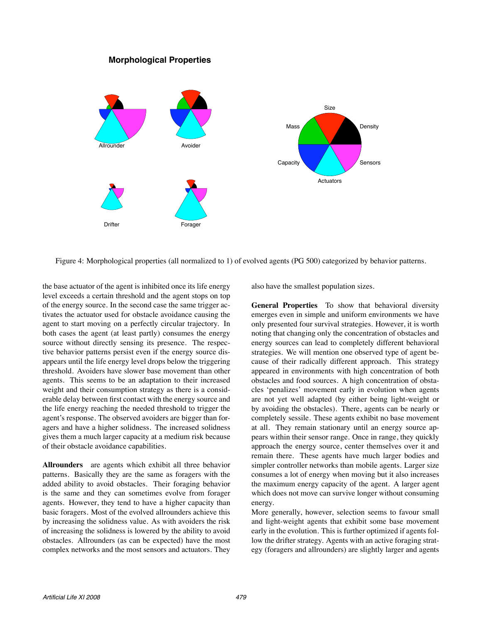# **Morphological Properties**



Figure 4: Morphological properties (all normalized to 1) of evolved agents (PG 500) categorized by behavior patterns.

the base actuator of the agent is inhibited once its life energy level exceeds a certain threshold and the agent stops on top of the energy source. In the second case the same trigger activates the actuator used for obstacle avoidance causing the agent to start moving on a perfectly circular trajectory. In both cases the agent (at least partly) consumes the energy source without directly sensing its presence. The respective behavior patterns persist even if the energy source disappears until the life energy level drops below the triggering threshold. Avoiders have slower base movement than other agents. This seems to be an adaptation to their increased weight and their consumption strategy as there is a considerable delay between first contact with the energy source and the life energy reaching the needed threshold to trigger the agent's response. The observed avoiders are bigger than foragers and have a higher solidness. The increased solidness gives them a much larger capacity at a medium risk because of their obstacle avoidance capabilities.

**Allrounders** are agents which exhibit all three behavior patterns. Basically they are the same as foragers with the added ability to avoid obstacles. Their foraging behavior is the same and they can sometimes evolve from forager agents. However, they tend to have a higher capacity than basic foragers. Most of the evolved allrounders achieve this by increasing the solidness value. As with avoiders the risk of increasing the solidness is lowered by the ability to avoid obstacles. Allrounders (as can be expected) have the most complex networks and the most sensors and actuators. They

also have the smallest population sizes.

**General Properties** To show that behavioral diversity emerges even in simple and uniform environments we have only presented four survival strategies. However, it is worth noting that changing only the concentration of obstacles and energy sources can lead to completely different behavioral strategies. We will mention one observed type of agent because of their radically different approach. This strategy appeared in environments with high concentration of both obstacles and food sources. A high concentration of obstacles 'penalizes' movement early in evolution when agents are not yet well adapted (by either being light-weight or by avoiding the obstacles). There, agents can be nearly or completely sessile. These agents exhibit no base movement at all. They remain stationary until an energy source appears within their sensor range. Once in range, they quickly approach the energy source, center themselves over it and remain there. These agents have much larger bodies and simpler controller networks than mobile agents. Larger size consumes a lot of energy when moving but it also increases the maximum energy capacity of the agent. A larger agent which does not move can survive longer without consuming energy.

More generally, however, selection seems to favour small and light-weight agents that exhibit some base movement early in the evolution. This is further optimized if agents follow the drifter strategy. Agents with an active foraging strategy (foragers and allrounders) are slightly larger and agents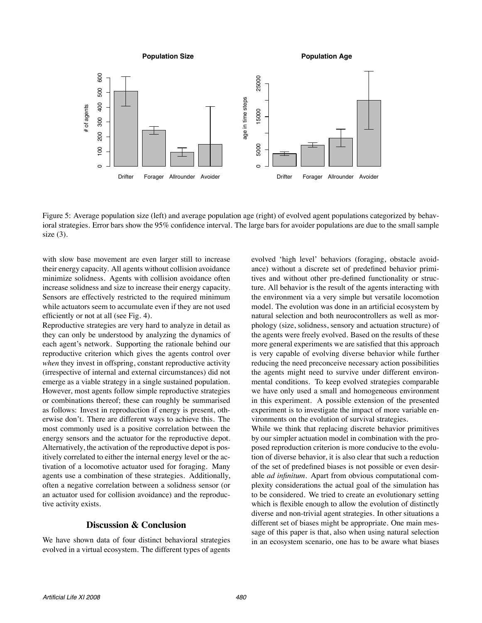

Figure 5: Average population size (left) and average population age (right) of evolved agent populations categorized by behavioral strategies. Error bars show the 95% confidence interval. The large bars for avoider populations are due to the small sample size  $(3)$ .

with slow base movement are even larger still to increase their energy capacity. All agents without collision avoidance minimize solidness. Agents with collision avoidance often increase solidness and size to increase their energy capacity. Sensors are effectively restricted to the required minimum while actuators seem to accumulate even if they are not used efficiently or not at all (see Fig. 4).

Reproductive strategies are very hard to analyze in detail as they can only be understood by analyzing the dynamics of each agent's network. Supporting the rationale behind our reproductive criterion which gives the agents control over *when* they invest in offspring, constant reproductive activity (irrespective of internal and external circumstances) did not emerge as a viable strategy in a single sustained population. However, most agents follow simple reproductive strategies or combinations thereof; these can roughly be summarised as follows: Invest in reproduction if energy is present, otherwise don't. There are different ways to achieve this. The most commonly used is a positive correlation between the energy sensors and the actuator for the reproductive depot. Alternatively, the activation of the reproductive depot is positively correlated to either the internal energy level or the activation of a locomotive actuator used for foraging. Many agents use a combination of these strategies. Additionally, often a negative correlation between a solidness sensor (or an actuator used for collision avoidance) and the reproductive activity exists.

# **Discussion & Conclusion**

We have shown data of four distinct behavioral strategies evolved in a virtual ecosystem. The different types of agents

evolved 'high level' behaviors (foraging, obstacle avoidance) without a discrete set of predefined behavior primitives and without other pre-defined functionality or structure. All behavior is the result of the agents interacting with the environment via a very simple but versatile locomotion model. The evolution was done in an artificial ecosystem by natural selection and both neurocontrollers as well as morphology (size, solidness, sensory and actuation structure) of the agents were freely evolved. Based on the results of these more general experiments we are satisfied that this approach is very capable of evolving diverse behavior while further reducing the need preconceive necessary action possibilities the agents might need to survive under different environmental conditions. To keep evolved strategies comparable we have only used a small and homogeneous environment in this experiment. A possible extension of the presented experiment is to investigate the impact of more variable environments on the evolution of survival strategies.

While we think that replacing discrete behavior primitives by our simpler actuation model in combination with the proposed reproduction criterion is more conducive to the evolution of diverse behavior, it is also clear that such a reduction of the set of predefined biases is not possible or even desirable *ad infinitum*. Apart from obvious computational complexity considerations the actual goal of the simulation has to be considered. We tried to create an evolutionary setting which is flexible enough to allow the evolution of distinctly diverse and non-trivial agent strategies. In other situations a different set of biases might be appropriate. One main message of this paper is that, also when using natural selection in an ecosystem scenario, one has to be aware what biases